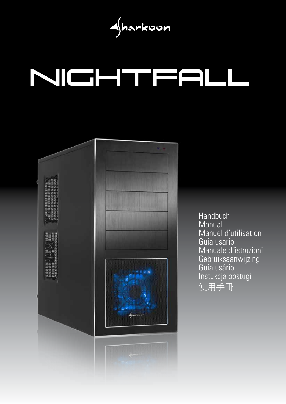Sharkoon

# NIGHTFALI



Handbuch **Manual** Manuel d'utilisation Guia usario Manuale d´istruzioni Gebruiksaanwijzing Guia usário Instukcja obstugi 使用手冊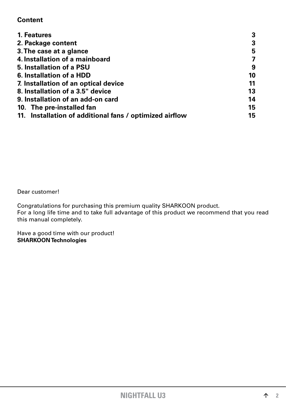# <span id="page-1-0"></span>**Content**

| 1. Features                                             |    |
|---------------------------------------------------------|----|
| 2. Package content                                      | 3  |
| 3. The case at a glance                                 | 5  |
| 4. Installation of a mainboard                          |    |
| 5. Installation of a PSU                                | 9  |
| 6. Installation of a HDD                                | 10 |
| 7. Installation of an optical device                    | 11 |
| 8. Installation of a 3.5" device                        |    |
| 9. Installation of an add-on card                       | 14 |
| 10. The pre-installed fan                               | 15 |
| 11. Installation of additional fans / optimized airflow | 15 |

Dear customer!

Congratulations for purchasing this premium quality SHARKOON product. For a long life time and to take full advantage of this product we recommend that you read this manual completely.

Have a good time with our product! **SHARKOON Technologies**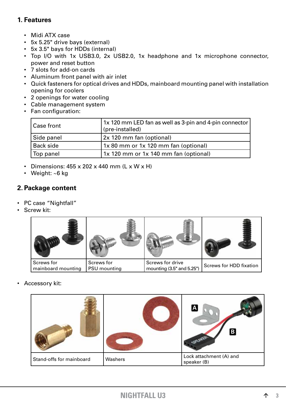# <span id="page-2-0"></span>**1. Features**

- Midi ATX case
- • 5x 5.25" drive bays (external)
- • 5x 3.5" bays for HDDs (internal)
- Top I/O with 1x USB3.0, 2x USB2.0, 1x headphone and 1x microphone connector, power and reset button
- • 7 slots for add-on cards
- • Aluminum front panel with air inlet
- • Quick fasteners for optical drives and HDDs, mainboard mounting panel with installation opening for coolers
- 2 openings for water cooling
- • Cable management system
- • Fan configuration:

| l Case front | 1x 120 mm LED fan as well as 3-pin and 4-pin connector  <br>(pre-installed) |
|--------------|-----------------------------------------------------------------------------|
| Side panel   | 2x 120 mm fan (optional)                                                    |
| Back side    | 1x 80 mm or 1x 120 mm fan (optional)                                        |
| Top panel    | 1x 120 mm or 1x 140 mm fan (optional)                                       |

- Dimensions:  $455 \times 202 \times 440$  mm (L x W  $\times$  H)
- Weight:  $~6$  kg

## <span id="page-2-1"></span>**2. Package content**

- • PC case "Nightfall"
- • Screw kit:

| Screws for         | Screws for   | Screws for drive          | <b>Screws for HDD fixation</b> |
|--------------------|--------------|---------------------------|--------------------------------|
| mainboard mounting | PSU mounting | mounting (3.5" and 5.25") |                                |

• Accessory kit:

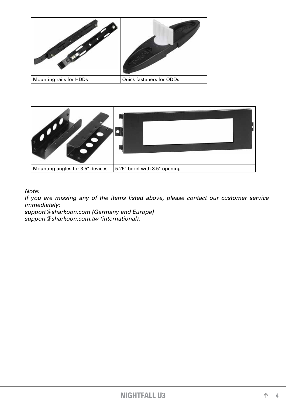



*Note:*

*If you are missing any of the items listed above, please contact our customer service immediately:*

*support@sharkoon.com (Germany and Europe) support@sharkoon.com.tw (international).*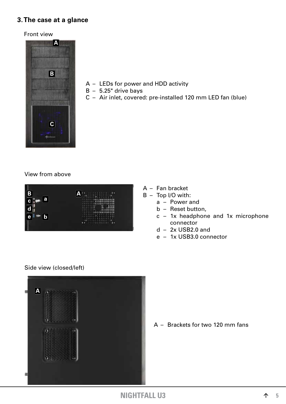## <span id="page-4-0"></span>**3. The case at a glance**

#### Front view



- $A LEDs$  for power and HDD activity
- $B 5.25$ " drive bays
- $C -$  Air inlet, covered: pre-installed 120 mm LED fan (blue)

### View from above



- $A -$  Fan bracket
- $B Top I/O$  with:
	- $a Power$  and
	- $b -$  Reset button,
	- $c 1x$  headphone and  $1x$  microphone connector
	- $d 2x$  USB2.0 and
	- e 1x USB3.0 connector

#### Side view (closed/left)



 $A -$  Brackets for two 120 mm fans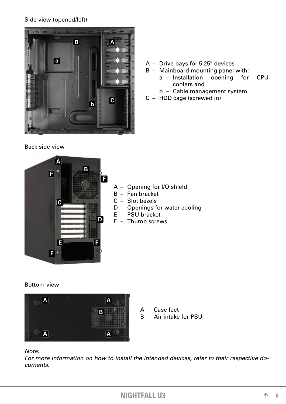## Side view (opened/left)



## Back side view

- $A -$  Drive bays for 5.25" devices
- $B -$  Mainboard mounting panel with: a – Installation opening for CPU coolers and
	- b Cable management system
- $C HDD$  cage (screwed in)



- $A -$  Opening for I/O shield
- $B Fan bracket$
- $C -$  Slot bezels
- D Openings for water cooling
- $E PSU$  bracket
- $F -$  Thumb screws

## Bottom view



- A Case feet
- $B Air$  intake for PSU

### *Note:*

*For more information on how to install the intended devices, refer to their respective documents.*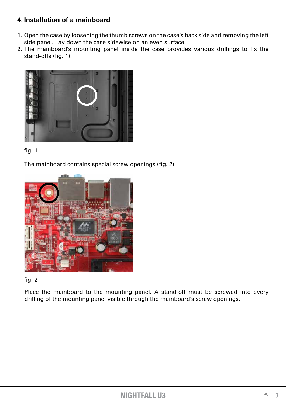# <span id="page-6-0"></span>**4. Installation of a mainboard**

- 1. Open the case by loosening the thumb screws on the case's back side and removing the left side panel. Lay down the case sidewise on an even surface.
- 2. The mainboard's mounting panel inside the case provides various drillings to fix the stand-offs (fig. 1).





 The mainboard contains special screw openings (fig. 2).





Place the mainboard to the mounting panel. A stand-off must be screwed into every drilling of the mounting panel visible through the mainboard's screw openings.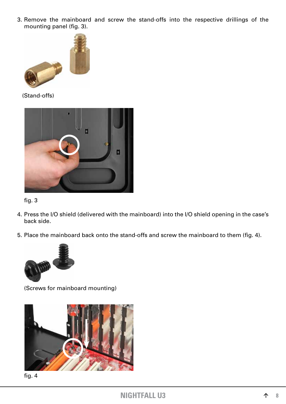3. Remove the mainboard and screw the stand-offs into the respective drillings of the mounting panel (fig. 3).



(Stand-offs)





- 4. Press the I/O shield (delivered with the mainboard) into the I/O shield opening in the case's back side.
- 5. Place the mainboard back onto the stand-offs and screw the mainboard to them (fig. 4).



 (Screws for mainboard mounting)



 fig. 4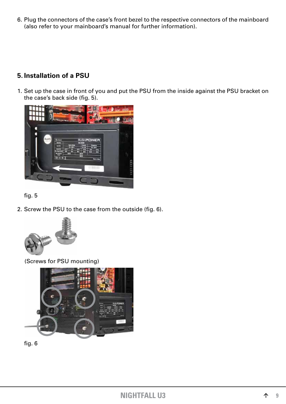6. Plug the connectors of the case's front bezel to the respective connectors of the mainboard (also refer to your mainboard's manual for further information).

# <span id="page-8-0"></span>**5. Installation of a PSU**

1. Set up the case in front of you and put the PSU from the inside against the PSU bracket on the case's back side (fig. 5).





2. Screw the PSU to the case from the outside (fig. 6).



(Screws for PSU mounting)



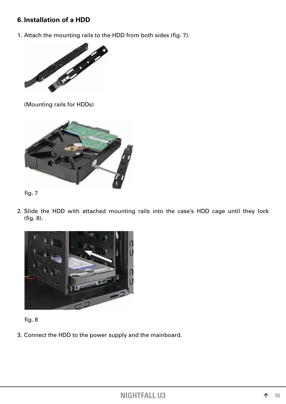# <span id="page-9-0"></span>**6. Installation of a HDD**

1. Attach the mounting rails to the HDD from both sides (fig. 7).



 (Mounting rails for HDDs)



fig. 7

2. Slide the HDD with attached mounting rails into the case's HDD cage until they lock (fig. 8).





3. Connect the HDD to the power supply and the mainboard.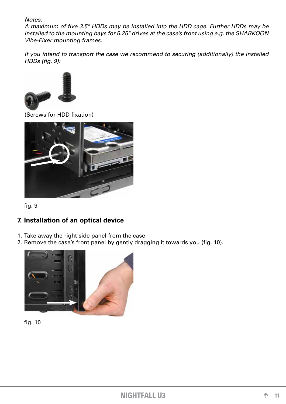*Notes:*

*A maximum of five 3.5" HDDs may be installed into the HDD cage. Further HDDs may be installed to the mounting bays for 5.25" drives at the case's front using e.g. the SHARKOON Vibe-Fixer mounting frames.*

*If you intend to transport the case we recommend to securing (additionally) the installed HDDs (fig. 9):*



(Screws for HDD fixation)



 fig. 9

# <span id="page-10-0"></span>**7. Installation of an optical device**

- 1. Take away the right side panel from the case.
- 2. Remove the case's front panel by gently dragging it towards you (fig. 10).



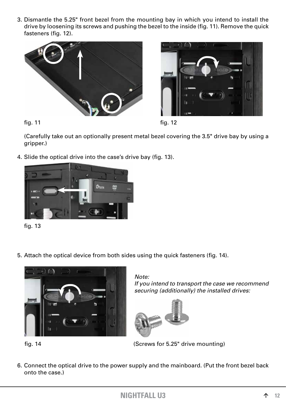3. Dismantle the 5.25" front bezel from the mounting bay in which you intend to install the drive by loosening its screws and pushing the bezel to the inside (fig. 11). Remove the quick fasteners (fig. 12).







 (Carefully take out an optionally present metal bezel covering the 3.5" drive bay by using a gripper.)

4. Slide the optical drive into the case's drive bay (fig. 13).



 fig. 13

5. Attach the optical device from both sides using the quick fasteners (fig. 14).



*Note: If you intend to transport the case we recommend securing (additionally) the installed drives:*



fig. 14 (Screws for 5.25" drive mounting)

6. Connect the optical drive to the power supply and the mainboard. (Put the front bezel back onto the case.)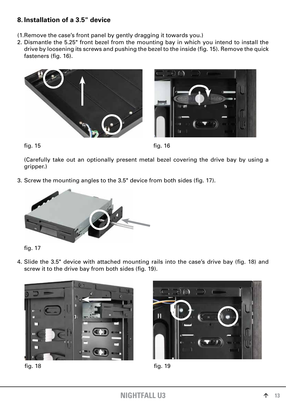# <span id="page-12-0"></span>**8. Installation of a 3.5" device**

- (1. Remove the case's front panel by gently dragging it towards you.)
- 2. Dismantle the 5.25" front bezel from the mounting bay in which you intend to install the drive by loosening its screws and pushing the bezel to the inside (fig. 15). Remove the quick fasteners (fig. 16).





 fig. 15 fig. 16

 (Carefully take out an optionally present metal bezel covering the drive bay by using a gripper.)

3. Screw the mounting angles to the 3.5" device from both sides (fig. 17).





4. Slide the 3.5" device with attached mounting rails into the case's drive bay (fig. 18) and screw it to the drive bay from both sides (fig. 19).





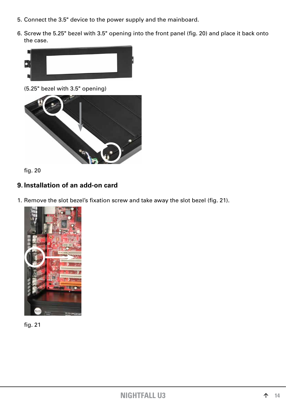- 5. Connect the 3.5" device to the power supply and the mainboard.
- 6. Screw the 5.25" bezel with 3.5" opening into the front panel (fig. 20) and place it back onto the case.



 (5.25" bezel with 3.5" opening)



 fig. 20

# <span id="page-13-0"></span>**9. Installation of an add-on card**

1. Remove the slot bezel's fixation screw and take away the slot bezel (fig. 21).



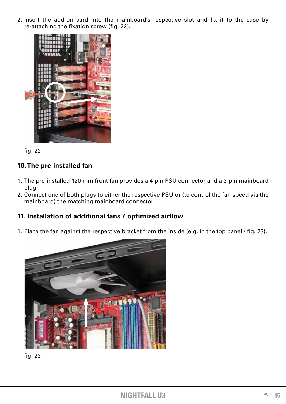2. Insert the add-on card into the mainboard's respective slot and fix it to the case by re-attaching the fixation screw (fig. 22).



 fig. 22

# <span id="page-14-0"></span>**10. The pre-installed fan**

- 1. The pre-installed 120 mm front fan provides a 4-pin PSU connector and a 3-pin mainboard plug.
- 2. Connect one of both plugs to either the respective PSU or (to control the fan speed via the mainboard) the matching mainboard connector.

# <span id="page-14-1"></span>**11. Installation of additional fans / optimized airflow**

1. Place the fan against the respective bracket from the inside (e.g. in the top panel / fig. 23).



 fig. 23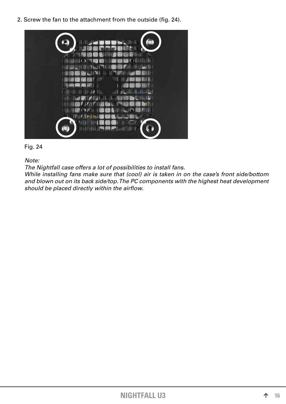2. Screw the fan to the attachment from the outside (fig. 24).





*Note:*

*The Nightfall case offers a lot of possibilities to install fans.*

*While installing fans make sure that (cool) air is taken in on the case's front side/bottom and blown out on its back side/top. The PC components with the highest heat development should be placed directly within the airflow.*